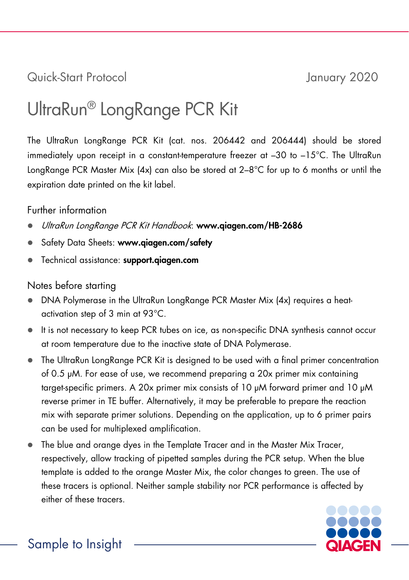## Quick-Start Protocol January 2020

# UltraRun® LongRange PCR Kit

The UltraRun LongRange PCR Kit (cat. nos. 206442 and 206444) should be stored immediately upon receipt in a constant-temperature freezer at –30 to –15°C. The UltraRun LongRange PCR Master Mix (4x) can also be stored at 2-8°C for up to 6 months or until the expiration date printed on the kit label.

#### Further information

- UltraRun LongRange PCR Kit Handbook: www.qiagen.com/HB-2686
- Safety Data Sheets: www.qiagen.com/safety
- Technical assistance: [support.qiagen.com](https://support.qiagen.com/)

### Notes before starting

- DNA Polymerase in the UltraRun LongRange PCR Master Mix (4x) requires a heatactivation step of 3 min at 93°C.
- It is not necessary to keep PCR tubes on ice, as non-specific DNA synthesis cannot occur at room temperature due to the inactive state of DNA Polymerase.
- The UltraRun LongRange PCR Kit is designed to be used with a final primer concentration of 0.5 μM. For ease of use, we recommend preparing a 20x primer mix containing target-specific primers. A 20x primer mix consists of 10 μM forward primer and 10 μM reverse primer in TE buffer. Alternatively, it may be preferable to prepare the reaction mix with separate primer solutions. Depending on the application, up to 6 primer pairs can be used for multiplexed amplification.
- The blue and orange dyes in the Template Tracer and in the Master Mix Tracer, respectively, allow tracking of pipetted samples during the PCR setup. When the blue template is added to the orange Master Mix, the color changes to green. The use of these tracers is optional. Neither sample stability nor PCR performance is affected by either of these tracers.

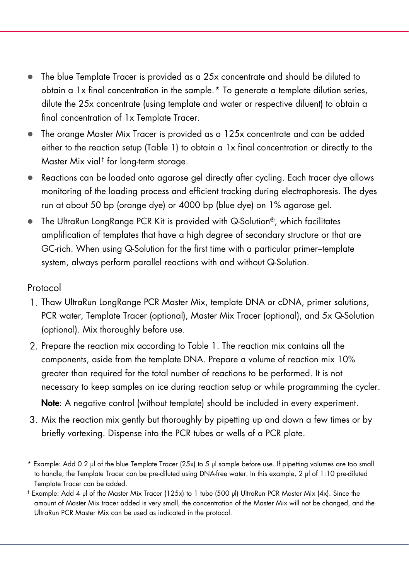- <span id="page-1-0"></span> The blue Template Tracer is provided as a 25x concentrate and should be diluted to obtain a 1x final concentration in the sample.[\\*](#page-1-1) To generate a template dilution series, dilute the 25x concentrate (using template and water or respective diluent) to obtain a final concentration of 1x Template Tracer.
- The orange Master Mix Tracer is provided as a 125x concentrate and can be added either to the reaction setup [\(Table 1\)](#page-1-0) to obtain a 1x final concentration or directly to the Master Mix vial[†](#page-1-2) for long-term storage.
- Reactions can be loaded onto agarose gel directly after cycling. Each tracer dye allows monitoring of the loading process and efficient tracking during electrophoresis. The dyes run at about 50 bp (orange dye) or 4000 bp (blue dye) on 1% agarose gel.
- The UltraRun LongRange PCR Kit is provided with Q-Solution®, which facilitates amplification of templates that have a high degree of secondary structure or that are GC-rich. When using Q-Solution for the first time with a particular primer–template system, always perform parallel reactions with and without Q-Solution.

Protocol

- 1. Thaw UltraRun LongRange PCR Master Mix, template DNA or cDNA, primer solutions, PCR water, Template Tracer (optional), Master Mix Tracer (optional), and 5x Q-Solution (optional). Mix thoroughly before use.
- 2. Prepare the reaction mix according to [Table 1.](#page-1-0) The reaction mix contains all the components, aside from the template DNA. Prepare a volume of reaction mix 10% greater than required for the total number of reactions to be performed. It is not necessary to keep samples on ice during reaction setup or while programming the cycler.

Note: A negative control (without template) should be included in every experiment.

- Mix the reaction mix gently but thoroughly by pipetting up and down a few times or by briefly vortexing. Dispense into the PCR tubes or wells of a PCR plate.
- <span id="page-1-1"></span>\* Example: Add 0.2 μl of the blue Template Tracer (25x) to 5 μl sample before use. If pipetting volumes are too small to handle, the Template Tracer can be pre-diluted using DNA-free water. In this example, 2 μl of 1:10 pre-diluted Template Tracer can be added.
- <span id="page-1-2"></span>† Example: Add 4 μl of the Master Mix Tracer (125x) to 1 tube (500 μl) UltraRun PCR Master Mix (4x). Since the amount of Master Mix tracer added is very small, the concentration of the Master Mix will not be changed, and the UltraRun PCR Master Mix can be used as indicated in the protocol.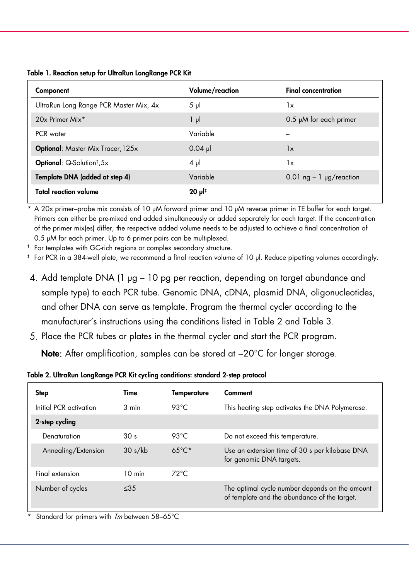| Component                                | Volume/reaction | <b>Final concentration</b>    |
|------------------------------------------|-----------------|-------------------------------|
| UltraRun Long Range PCR Master Mix, 4x   | $5 \mu$         | 1x                            |
| 20x Primer Mix*                          | $1 \mu$         | $0.5$ $\mu$ M for each primer |
| PCR water                                | Variable        |                               |
| <b>Optional:</b> Master Mix Tracer, 125x | $0.04$ pl       | 1x                            |
| Optional: Q-Solution <sup>†</sup> ,5x    | $4 \mu$         | 1x                            |
| Template DNA (added at step 4)           | Variable        | 0.01 ng $-1$ µg/reaction      |
| <b>Total reaction volume</b>             | $20 \mu$        |                               |

Table 1. Reaction setup for UltraRun LongRange PCR Kit

\* A 20x primer–probe mix consists of 10 μM forward primer and 10 μM reverse primer in TE buffer for each target. Primers can either be pre-mixed and added simultaneously or added separately for each target. If the concentration of the primer mix(es) differ, the respective added volume needs to be adjusted to achieve a final concentration of 0.5 μM for each primer. Up to 6 primer pairs can be multiplexed.

† For templates with GC-rich regions or complex secondary structure.

‡ For PCR in a 384-well plate, we recommend a final reaction volume of 10 μl. Reduce pipetting volumes accordingly.

- Add template DNA (1 μg 10 pg per reaction, depending on target abundance and sample type) to each PCR tube. Genomic DNA, cDNA, plasmid DNA, oligonucleotides, and other DNA can serve as template. Program the thermal cycler according to the manufacturer's instructions using the conditions listed in Table 2 and Table 3.
- Place the PCR tubes or plates in the thermal cycler and start the PCR program.

Note: After amplification, samples can be stored at −20°C for longer storage.

Table 2. UltraRun LongRange PCR Kit cycling conditions: standard 2-step protocol

| Step                   | Time             | Temperature     | Comment                                                                                        |
|------------------------|------------------|-----------------|------------------------------------------------------------------------------------------------|
| Initial PCR activation | 3 min            | 93 $°C$         | This heating step activates the DNA Polymerase.                                                |
| 2-step cycling         |                  |                 |                                                                                                |
| Denaturation           | 30 <sub>s</sub>  | 93 $°C$         | Do not exceed this temperature.                                                                |
| Annealing/Extension    | 30 s/kb          | $65^{\circ}$ C* | Use an extension time of 30 s per kilobase DNA<br>for genomic DNA targets.                     |
| Final extension        | $10 \text{ min}$ | $72^{\circ}$ C  |                                                                                                |
| Number of cycles       | $<$ 35           |                 | The optimal cycle number depends on the amount<br>of template and the abundance of the target. |
|                        |                  |                 |                                                                                                |

Standard for primers with  $\textit{Im}$  between 58–65°C